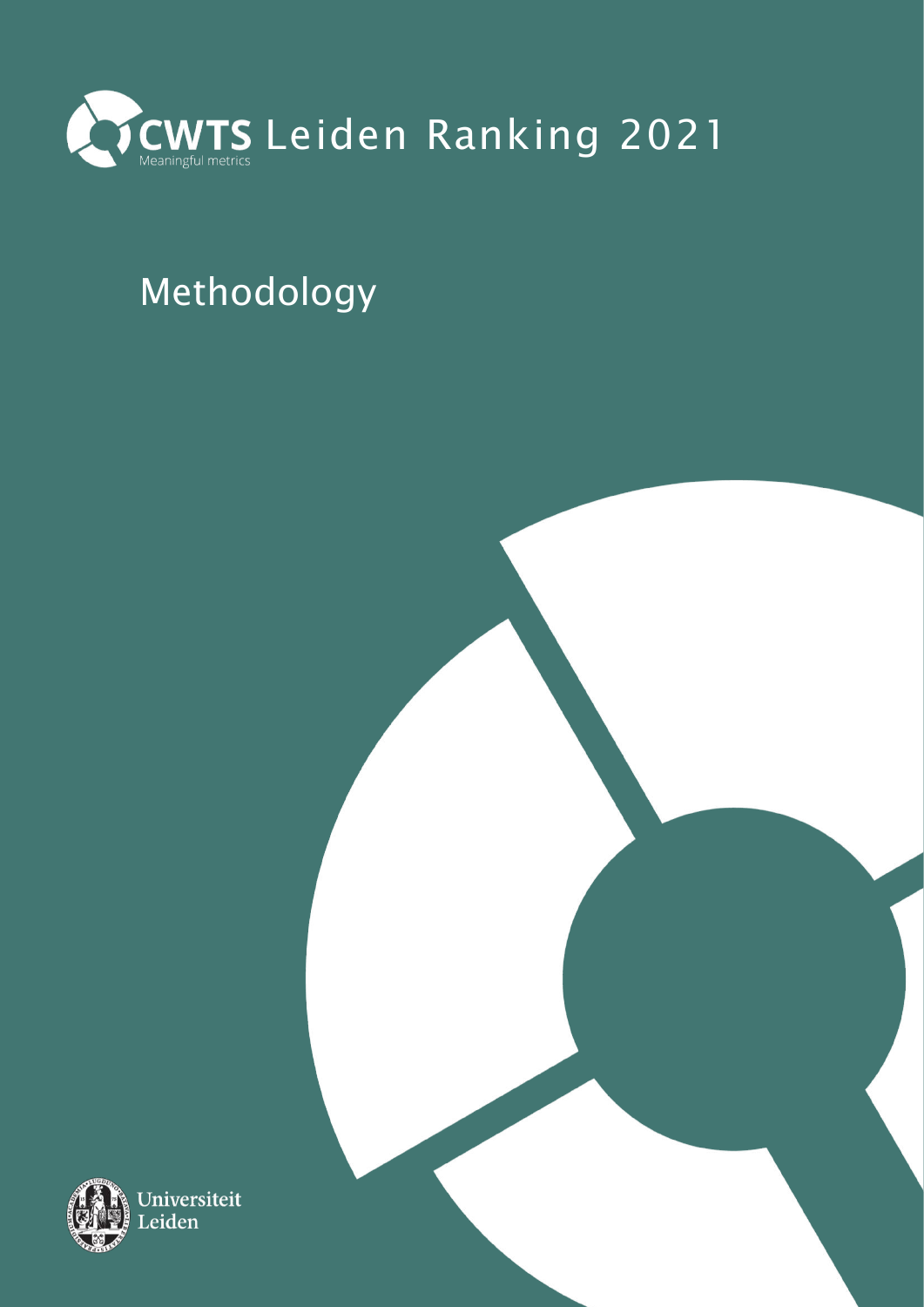

# Methodology

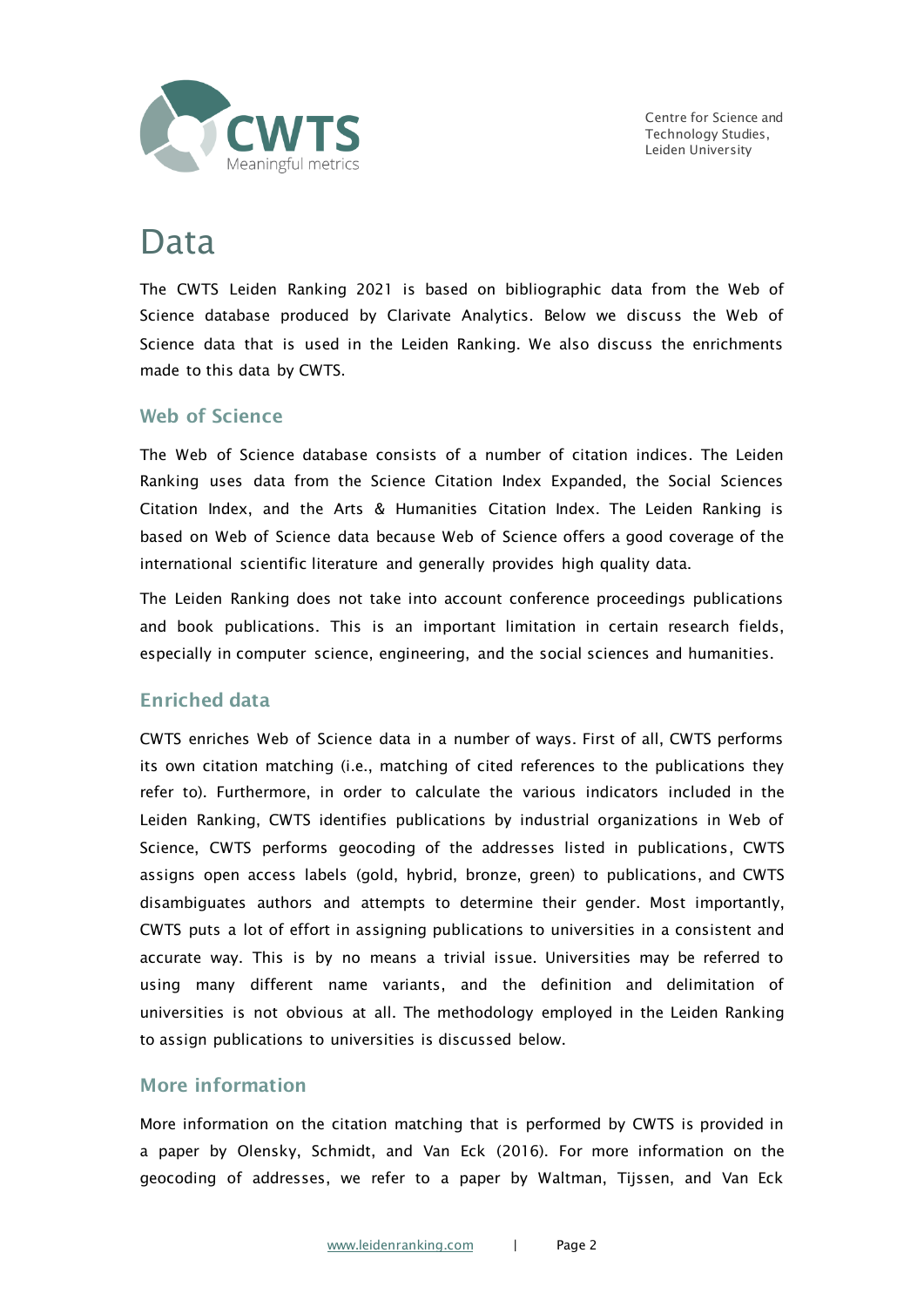

Centre for Science and Technology Studies, Leiden University

### Data

The CWTS Leiden Ranking 2021 is based on bibliographic data from the Web of Science database produced by Clarivate Analytics. Below we discuss the Web of Science data that is used in the Leiden Ranking. We also discuss the enrichments made to this data by CWTS.

### Web of Science

The Web of Science database consists of a number of citation indices. The Leiden Ranking uses data from the Science Citation Index Expanded, the Social Sciences Citation Index, and the Arts & Humanities Citation Index. The Leiden Ranking is based on Web of Science data because Web of Science offers a good coverage of the international scientific literature and generally provides high quality data.

The Leiden Ranking does not take into account conference proceedings publications and book publications. This is an important limitation in certain research fields, especially in computer science, engineering, and the social sciences and humanities.

### Enriched data

CWTS enriches Web of Science data in a number of ways. First of all, CWTS performs its own citation matching (i.e., matching of cited references to the publications they refer to). Furthermore, in order to calculate the various indicators included in the Leiden Ranking, CWTS identifies publications by industrial organizations in Web of Science, CWTS performs geocoding of the addresses listed in publications, CWTS assigns open access labels (gold, hybrid, bronze, green) to publications, and CWTS disambiguates authors and attempts to determine their gender. Most importantly, CWTS puts a lot of effort in assigning publications to universities in a consistent and accurate way. This is by no means a trivial issue. Universities may be referred to using many different name variants, and the definition and delimitation of universities is not obvious at all. The methodology employed in the Leiden Ranking to assign publications to universities is discussed below.

### More information

More information on the citation matching that is performed by CWTS is provided in a paper by Olensky, Schmidt, and Van Eck (2016). For more information on the geocoding of addresses, we refer to a paper by Waltman, Tijssen, and Van Eck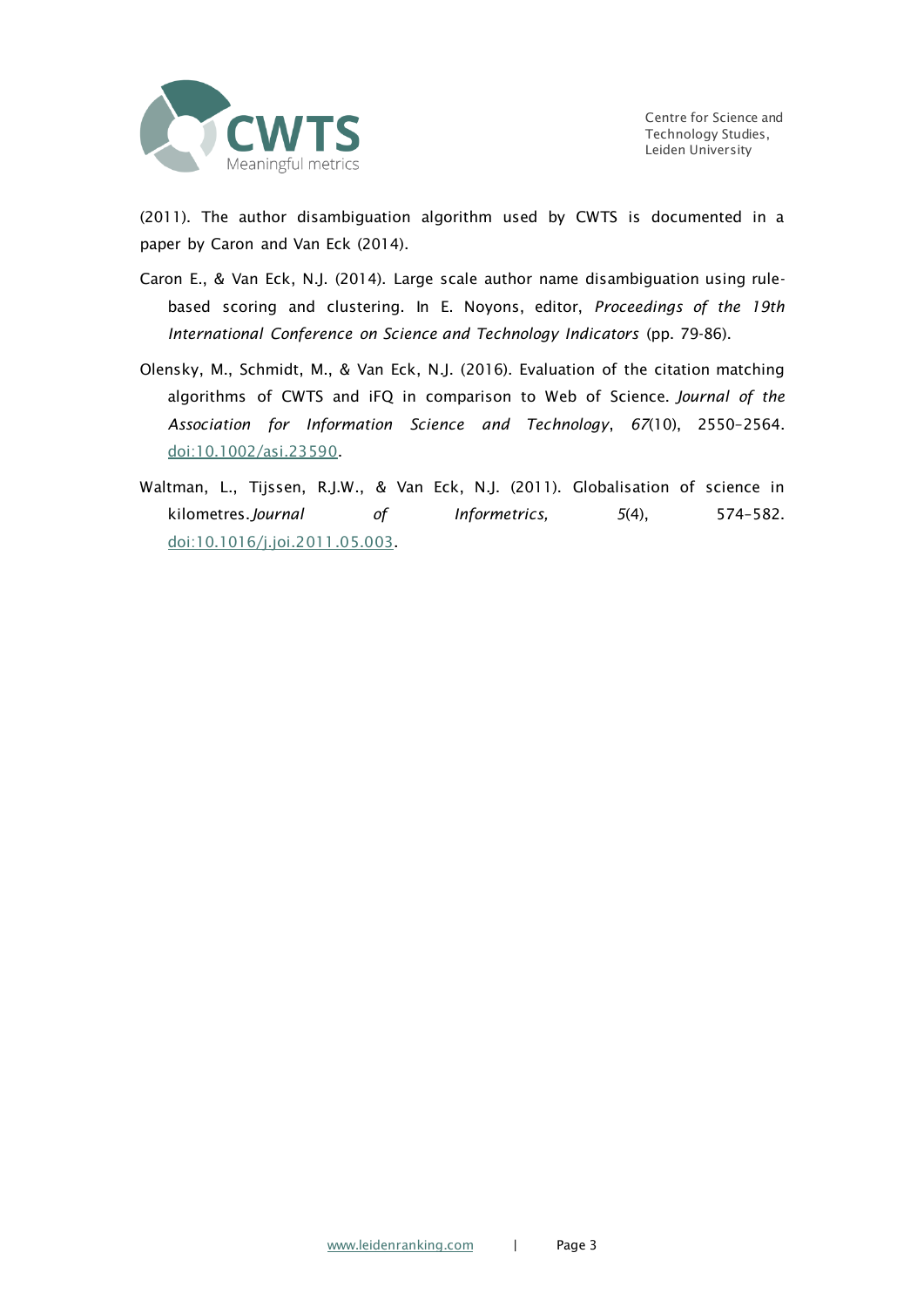

(2011). The author disambiguation algorithm used by CWTS is documented in a paper by Caron and Van Eck (2014).

- Caron E., & Van Eck, N.J. (2014). Large scale author name disambiguation using rulebased scoring and clustering. In E. Noyons, editor, *Proceedings of the 19th International Conference on Science and Technology Indicators* (pp. 79-86).
- Olensky, M., Schmidt, M., & Van Eck, N.J. (2016). Evaluation of the citation matching algorithms of CWTS and iFQ in comparison to Web of Science. *Journal of the Association for Information Science and Technology*, *67*(10), 2550–2564. [doi:10.1002/asi.23590.](https://doi.org/10.1002/asi.23590)
- Waltman, L., Tijssen, R.J.W., & Van Eck, N.J. (2011). Globalisation of science in kilometres.*Journal of Informetrics, 5*(4), 574–582. [doi:10.1016/j.joi.2011.05.003.](https://doi.org/10.1016/j.joi.2011.05.003)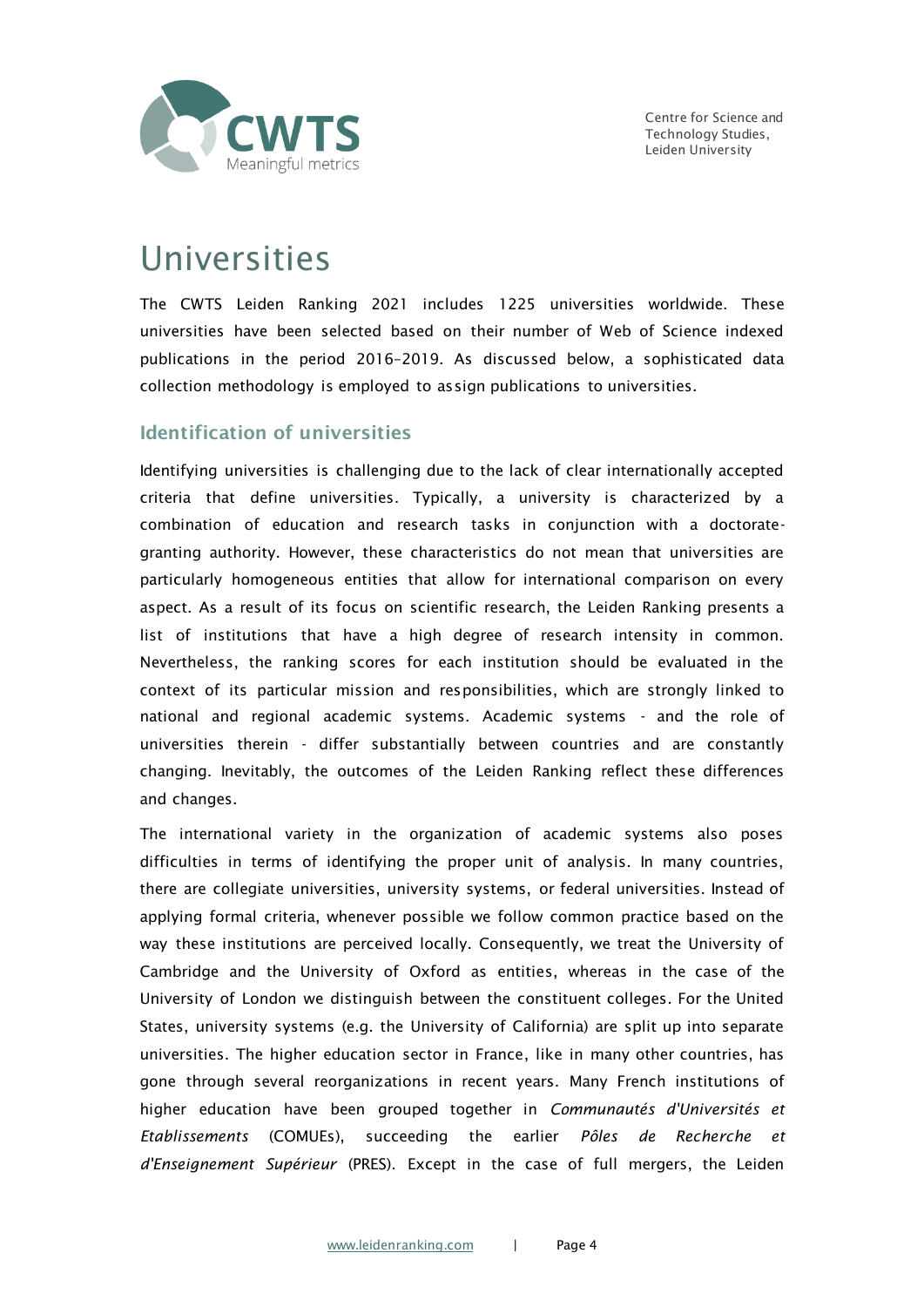

### Universities

The CWTS Leiden Ranking 2021 includes 1225 universities worldwide. These universities have been selected based on their number of Web of Science indexed publications in the period 2016–2019. As discussed below, a sophisticated data collection methodology is employed to assign publications to universities.

### Identification of universities

Identifying universities is challenging due to the lack of clear internationally accepted criteria that define universities. Typically, a university is characterized by a combination of education and research tasks in conjunction with a doctorategranting authority. However, these characteristics do not mean that universities are particularly homogeneous entities that allow for international comparison on every aspect. As a result of its focus on scientific research, the Leiden Ranking presents a list of institutions that have a high degree of research intensity in common. Nevertheless, the ranking scores for each institution should be evaluated in the context of its particular mission and responsibilities, which are strongly linked to national and regional academic systems. Academic systems - and the role of universities therein - differ substantially between countries and are constantly changing. Inevitably, the outcomes of the Leiden Ranking reflect these differences and changes.

The international variety in the organization of academic systems also poses difficulties in terms of identifying the proper unit of analysis. In many countries, there are collegiate universities, university systems, or federal universities. Instead of applying formal criteria, whenever possible we follow common practice based on the way these institutions are perceived locally. Consequently, we treat the University of Cambridge and the University of Oxford as entities, whereas in the case of the University of London we distinguish between the constituent colleges. For the United States, university systems (e.g. the University of California) are split up into separate universities. The higher education sector in France, like in many other countries, has gone through several reorganizations in recent years. Many French institutions of higher education have been grouped together in *Communautés d'Universités et Etablissements* (COMUEs), succeeding the earlier *Pôles de Recherche et d'Enseignement Supérieur* (PRES). Except in the case of full mergers, the Leiden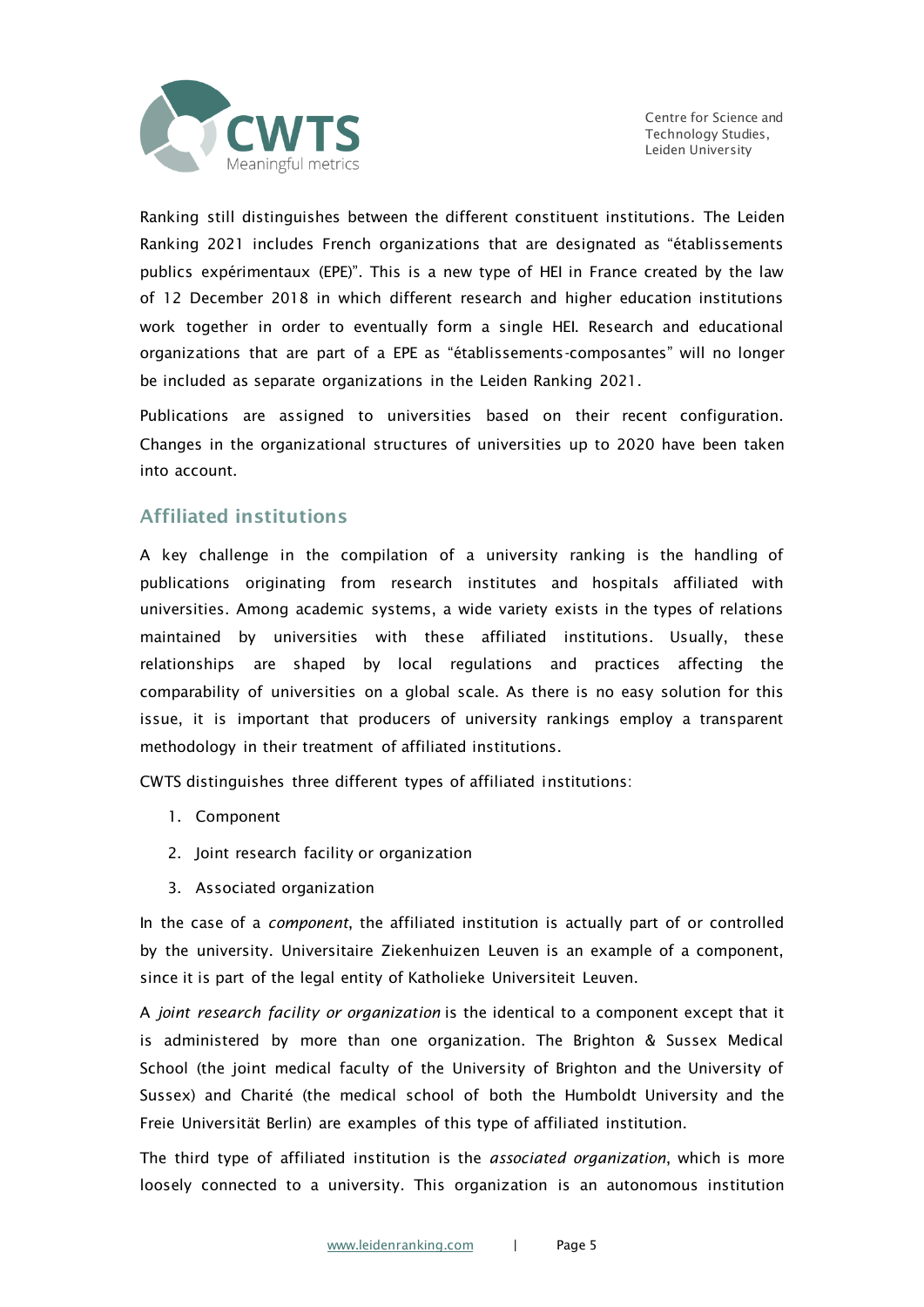

Ranking still distinguishes between the different constituent institutions. The Leiden Ranking 2021 includes French organizations that are designated as "établissements publics expérimentaux (EPE)". This is a new type of HEI in France created by the law of 12 December 2018 in which different research and higher education institutions work together in order to eventually form a single HEI. Research and educational organizations that are part of a EPE as "établissements-composantes" will no longer be included as separate organizations in the Leiden Ranking 2021.

Publications are assigned to universities based on their recent configuration. Changes in the organizational structures of universities up to 2020 have been taken into account.

### Affiliated institutions

A key challenge in the compilation of a university ranking is the handling of publications originating from research institutes and hospitals affiliated with universities. Among academic systems, a wide variety exists in the types of relations maintained by universities with these affiliated institutions. Usually, these relationships are shaped by local regulations and practices affecting the comparability of universities on a global scale. As there is no easy solution for this issue, it is important that producers of university rankings employ a transparent methodology in their treatment of affiliated institutions.

CWTS distinguishes three different types of affiliated institutions:

- 1. Component
- 2. Joint research facility or organization
- 3. Associated organization

In the case of a *component*, the affiliated institution is actually part of or controlled by the university. Universitaire Ziekenhuizen Leuven is an example of a component, since it is part of the legal entity of Katholieke Universiteit Leuven.

A *joint research facility or organization* is the identical to a component except that it is administered by more than one organization. The Brighton & Sussex Medical School (the joint medical faculty of the University of Brighton and the University of Sussex) and Charité (the medical school of both the Humboldt University and the Freie Universität Berlin) are examples of this type of affiliated institution.

The third type of affiliated institution is the *associated organization*, which is more loosely connected to a university. This organization is an autonomous institution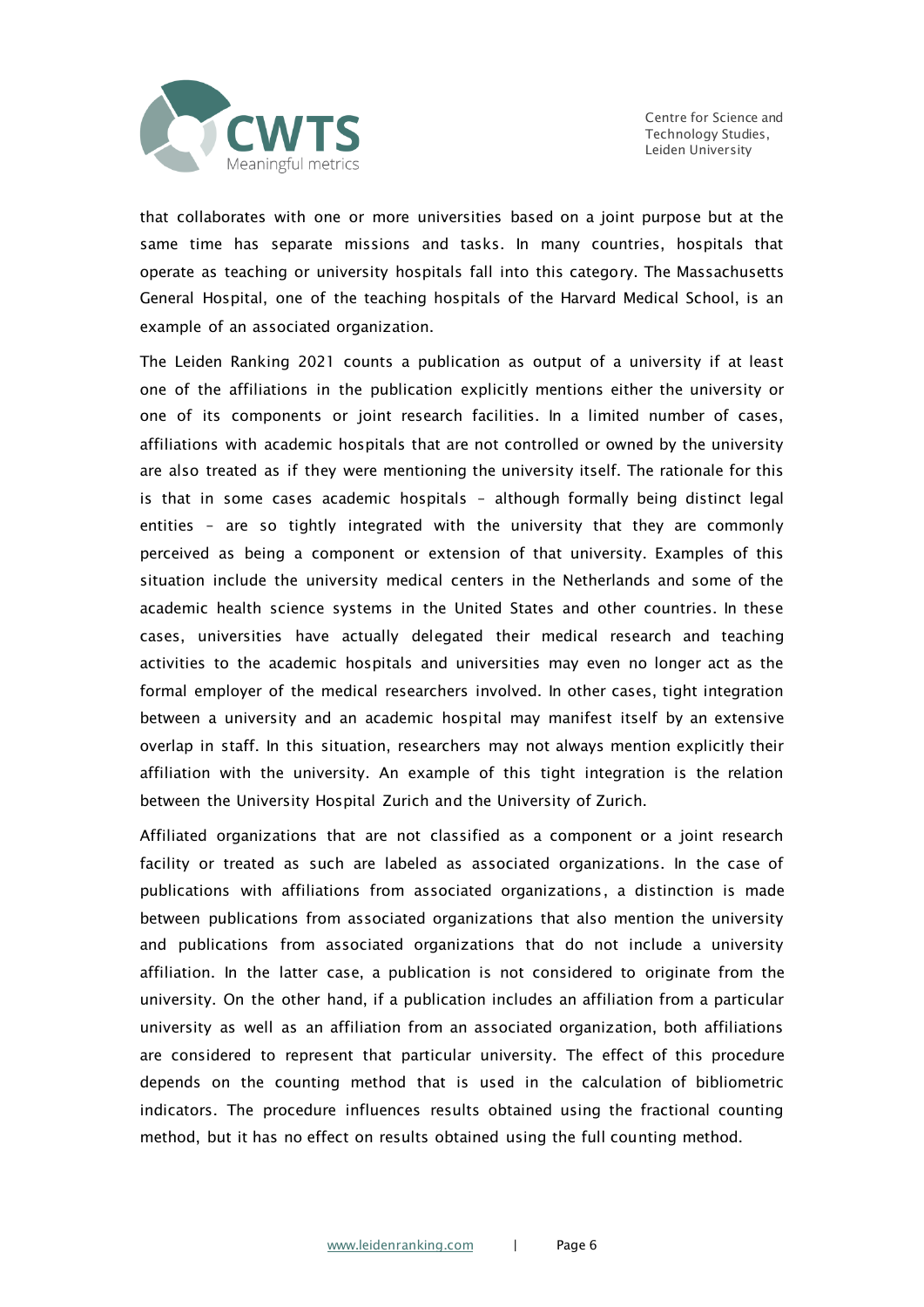

Centre for Science and Technology Studies, Leiden University

that collaborates with one or more universities based on a joint purpose but at the same time has separate missions and tasks. In many countries, hospitals that operate as teaching or university hospitals fall into this category. The Massachusetts General Hospital, one of the teaching hospitals of the Harvard Medical School, is an example of an associated organization.

The Leiden Ranking 2021 counts a publication as output of a university if at least one of the affiliations in the publication explicitly mentions either the university or one of its components or joint research facilities. In a limited number of cases, affiliations with academic hospitals that are not controlled or owned by the university are also treated as if they were mentioning the university itself. The rationale for this is that in some cases academic hospitals – although formally being distinct legal entities – are so tightly integrated with the university that they are commonly perceived as being a component or extension of that university. Examples of this situation include the university medical centers in the Netherlands and some of the academic health science systems in the United States and other countries. In these cases, universities have actually delegated their medical research and teaching activities to the academic hospitals and universities may even no longer act as the formal employer of the medical researchers involved. In other cases, tight integration between a university and an academic hospital may manifest itself by an extensive overlap in staff. In this situation, researchers may not always mention explicitly their affiliation with the university. An example of this tight integration is the relation between the University Hospital Zurich and the University of Zurich.

Affiliated organizations that are not classified as a component or a joint research facility or treated as such are labeled as associated organizations. In the case of publications with affiliations from associated organizations, a distinction is made between publications from associated organizations that also mention the university and publications from associated organizations that do not include a university affiliation. In the latter case, a publication is not considered to originate from the university. On the other hand, if a publication includes an affiliation from a particular university as well as an affiliation from an associated organization, both affiliations are considered to represent that particular university. The effect of this procedure depends on the counting method that is used in the calculation of bibliometric indicators. The procedure influences results obtained using the fractional counting method, but it has no effect on results obtained using the full counting method.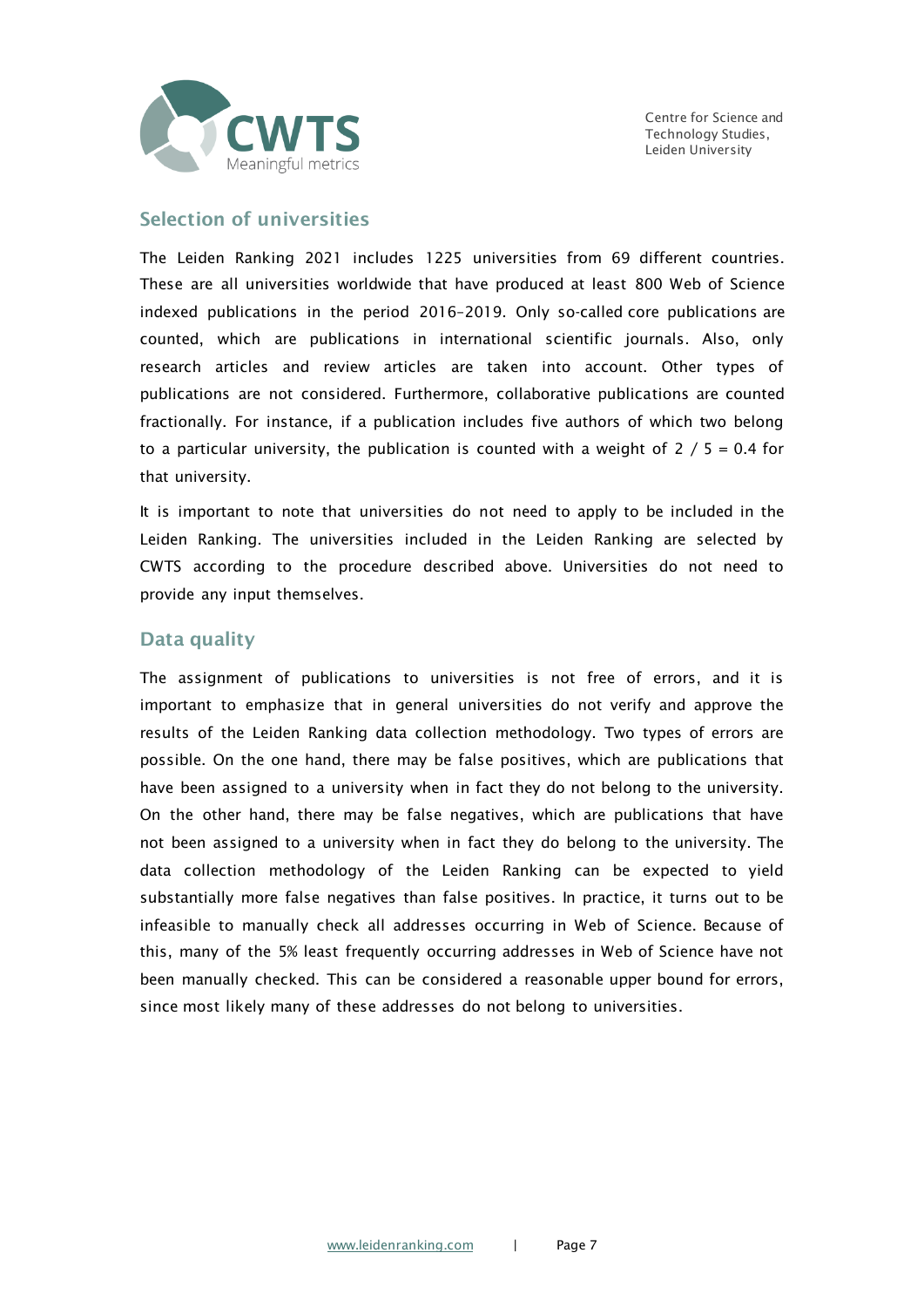

### Selection of universities

The Leiden Ranking 2021 includes 1225 universities from 69 different countries. These are all universities worldwide that have produced at least 800 Web of Science indexed publications in the period 2016–2019. Only so-called core publications are counted, which are publications in international scientific journals. Also, only research articles and review articles are taken into account. Other types of publications are not considered. Furthermore, collaborative publications are counted fractionally. For instance, if a publication includes five authors of which two belong to a particular university, the publication is counted with a weight of  $2 / 5 = 0.4$  for that university.

It is important to note that universities do not need to apply to be included in the Leiden Ranking. The universities included in the Leiden Ranking are selected by CWTS according to the procedure described above. Universities do not need to provide any input themselves.

#### Data quality

The assignment of publications to universities is not free of errors, and it is important to emphasize that in general universities do not verify and approve the results of the Leiden Ranking data collection methodology. Two types of errors are possible. On the one hand, there may be false positives, which are publications that have been assigned to a university when in fact they do not belong to the university. On the other hand, there may be false negatives, which are publications that have not been assigned to a university when in fact they do belong to the university. The data collection methodology of the Leiden Ranking can be expected to yield substantially more false negatives than false positives. In practice, it turns out to be infeasible to manually check all addresses occurring in Web of Science. Because of this, many of the 5% least frequently occurring addresses in Web of Science have not been manually checked. This can be considered a reasonable upper bound for errors, since most likely many of these addresses do not belong to universities.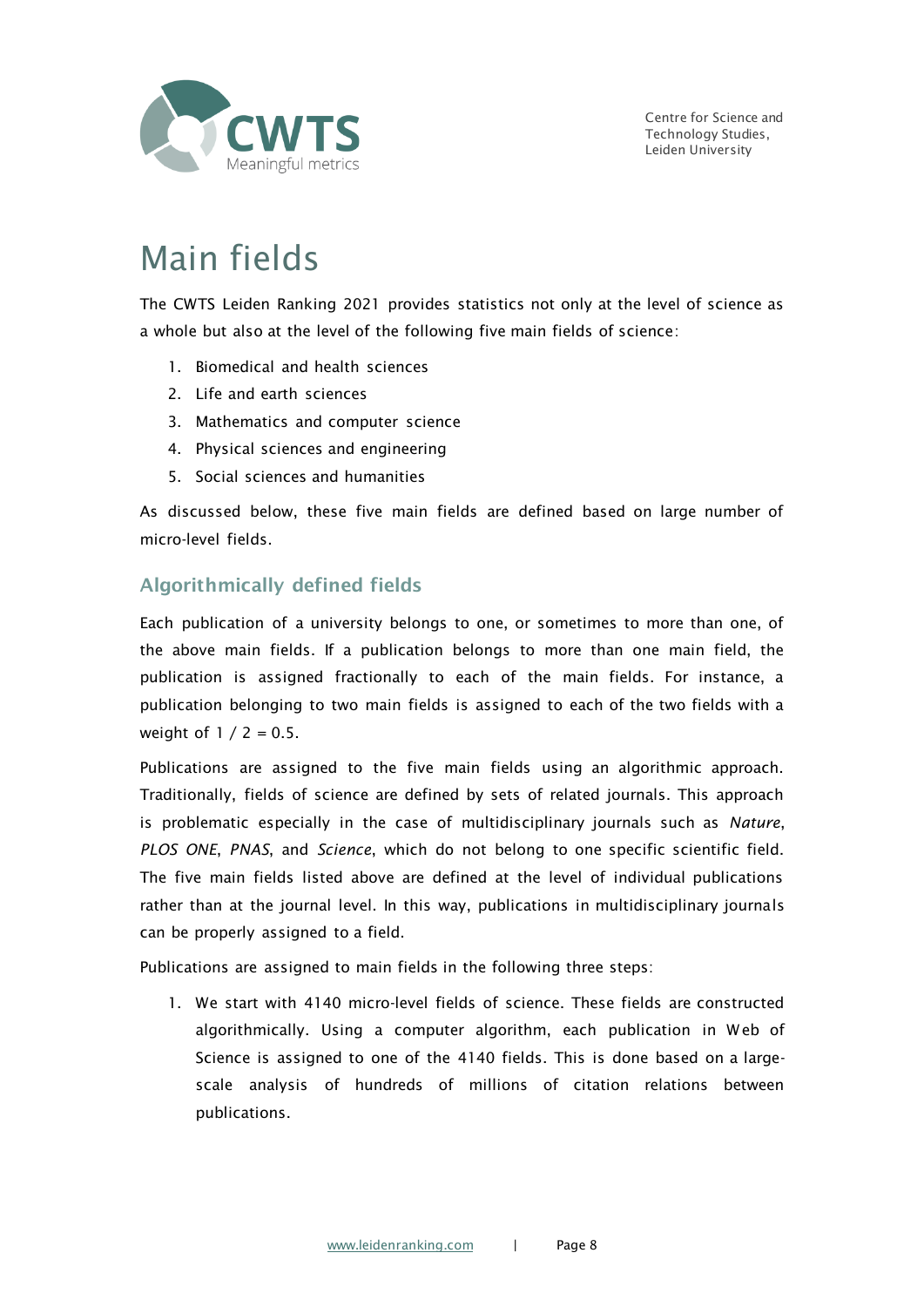

## Main fields

The CWTS Leiden Ranking 2021 provides statistics not only at the level of science as a whole but also at the level of the following five main fields of science:

- 1. Biomedical and health sciences
- 2. Life and earth sciences
- 3. Mathematics and computer science
- 4. Physical sciences and engineering
- 5. Social sciences and humanities

As discussed below, these five main fields are defined based on large number of micro-level fields.

### Algorithmically defined fields

Each publication of a university belongs to one, or sometimes to more than one, of the above main fields. If a publication belongs to more than one main field, the publication is assigned fractionally to each of the main fields. For instance, a publication belonging to two main fields is assigned to each of the two fields with a weight of  $1 / 2 = 0.5$ .

Publications are assigned to the five main fields using an algorithmic approach. Traditionally, fields of science are defined by sets of related journals. This approach is problematic especially in the case of multidisciplinary journals such as *Nature*, *PLOS ONE*, *PNAS*, and *Science*, which do not belong to one specific scientific field. The five main fields listed above are defined at the level of individual publications rather than at the journal level. In this way, publications in multidisciplinary journals can be properly assigned to a field.

Publications are assigned to main fields in the following three steps:

1. We start with 4140 micro-level fields of science. These fields are constructed algorithmically. Using a computer algorithm, each publication in Web of Science is assigned to one of the 4140 fields. This is done based on a largescale analysis of hundreds of millions of citation relations between publications.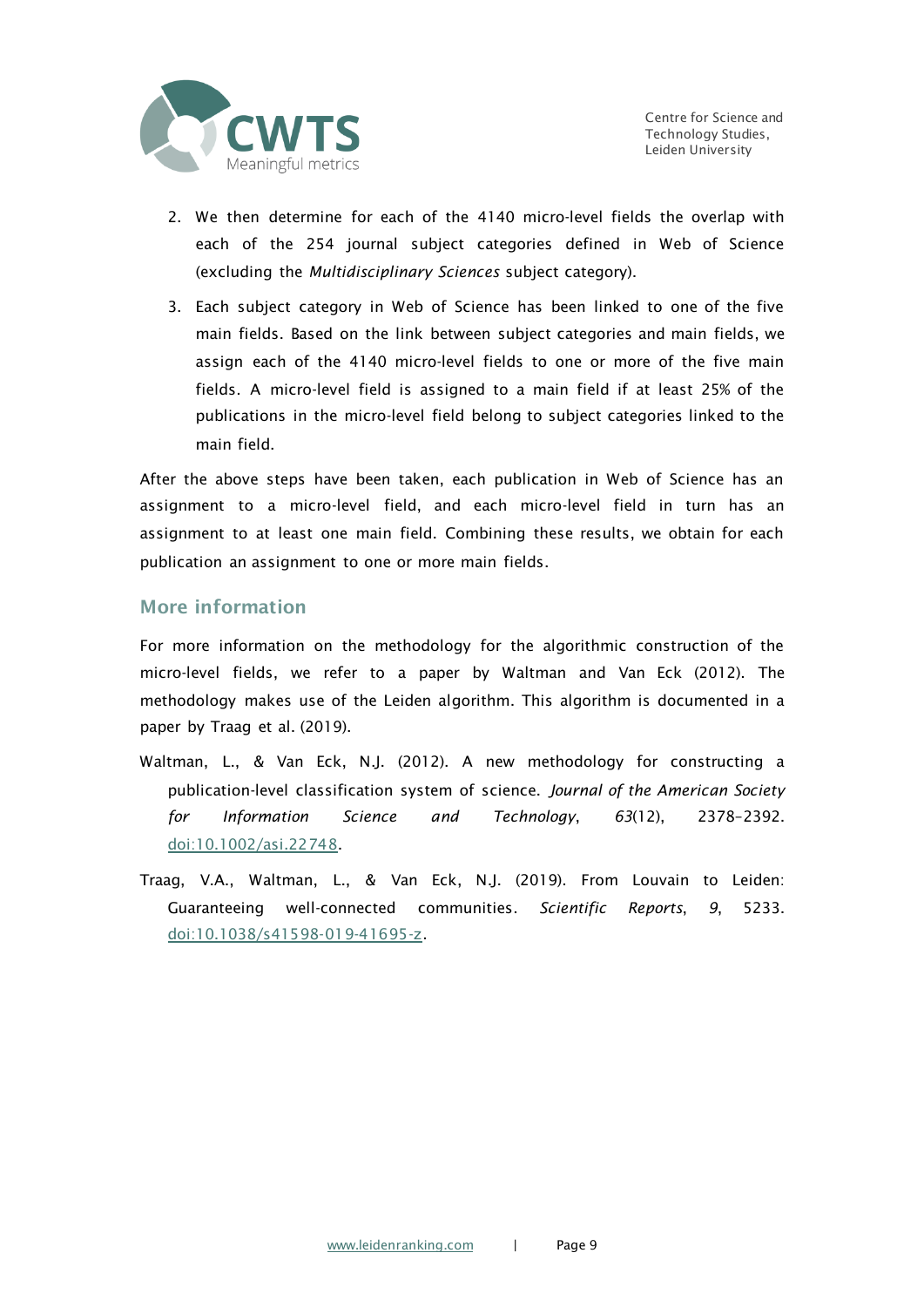

- 2. We then determine for each of the 4140 micro-level fields the overlap with each of the 254 journal subject categories defined in Web of Science (excluding the *Multidisciplinary Sciences* subject category).
- 3. Each subject category in Web of Science has been linked to one of the five main fields. Based on the link between subject categories and main fields, we assign each of the 4140 micro-level fields to one or more of the five main fields. A micro-level field is assigned to a main field if at least 25% of the publications in the micro-level field belong to subject categories linked to the main field.

After the above steps have been taken, each publication in Web of Science has an assignment to a micro-level field, and each micro-level field in turn has an assignment to at least one main field. Combining these results, we obtain for each publication an assignment to one or more main fields.

#### More information

For more information on the methodology for the algorithmic construction of the micro-level fields, we refer to a paper by Waltman and Van Eck (2012). The methodology makes use of the Leiden algorithm. This algorithm is documented in a paper by Traag et al. (2019).

- Waltman, L., & Van Eck, N.J. (2012). A new methodology for constructing a publication-level classification system of science. *Journal of the American Society for Information Science and Technology*, *63*(12), 2378–2392. [doi:10.1002/asi.22748.](https://doi.org/10.1002/asi.22748)
- Traag, V.A., Waltman, L., & Van Eck, N.J. (2019). From Louvain to Leiden: Guaranteeing well-connected communities. *Scientific Reports*, *9*, 5233. [doi:10.1038/s41598-019-41695-z.](https://doi.org/10.1038/s41598-019-41695-z)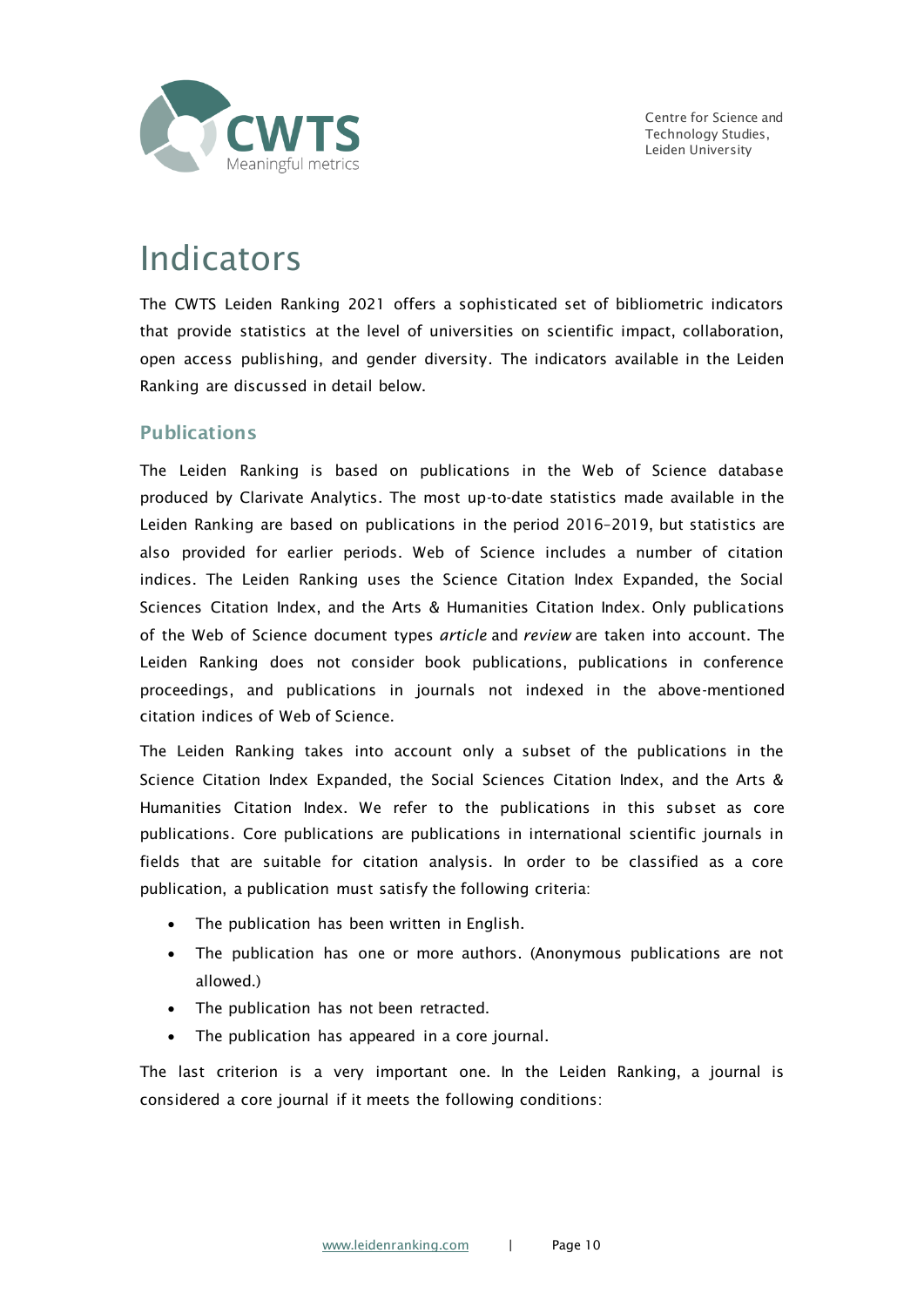

### Indicators

The CWTS Leiden Ranking 2021 offers a sophisticated set of bibliometric indicators that provide statistics at the level of universities on scientific impact, collaboration, open access publishing, and gender diversity. The indicators available in the Leiden Ranking are discussed in detail below.

### **Publications**

The Leiden Ranking is based on publications in the Web of Science database produced by Clarivate Analytics. The most up-to-date statistics made available in the Leiden Ranking are based on publications in the period 2016–2019, but statistics are also provided for earlier periods. Web of Science includes a number of citation indices. The Leiden Ranking uses the Science Citation Index Expanded, the Social Sciences Citation Index, and the Arts & Humanities Citation Index. Only publications of the Web of Science document types *article* and *review* are taken into account. The Leiden Ranking does not consider book publications, publications in conference proceedings, and publications in journals not indexed in the above-mentioned citation indices of Web of Science.

The Leiden Ranking takes into account only a subset of the publications in the Science Citation Index Expanded, the Social Sciences Citation Index, and the Arts & Humanities Citation Index. We refer to the publications in this subset as core publications. Core publications are publications in international scientific journals in fields that are suitable for citation analysis. In order to be classified as a core publication, a publication must satisfy the following criteria:

- The publication has been written in English.
- The publication has one or more authors. (Anonymous publications are not allowed.)
- The publication has not been retracted.
- The publication has appeared in a core journal.

The last criterion is a very important one. In the Leiden Ranking, a journal is considered a core journal if it meets the following conditions: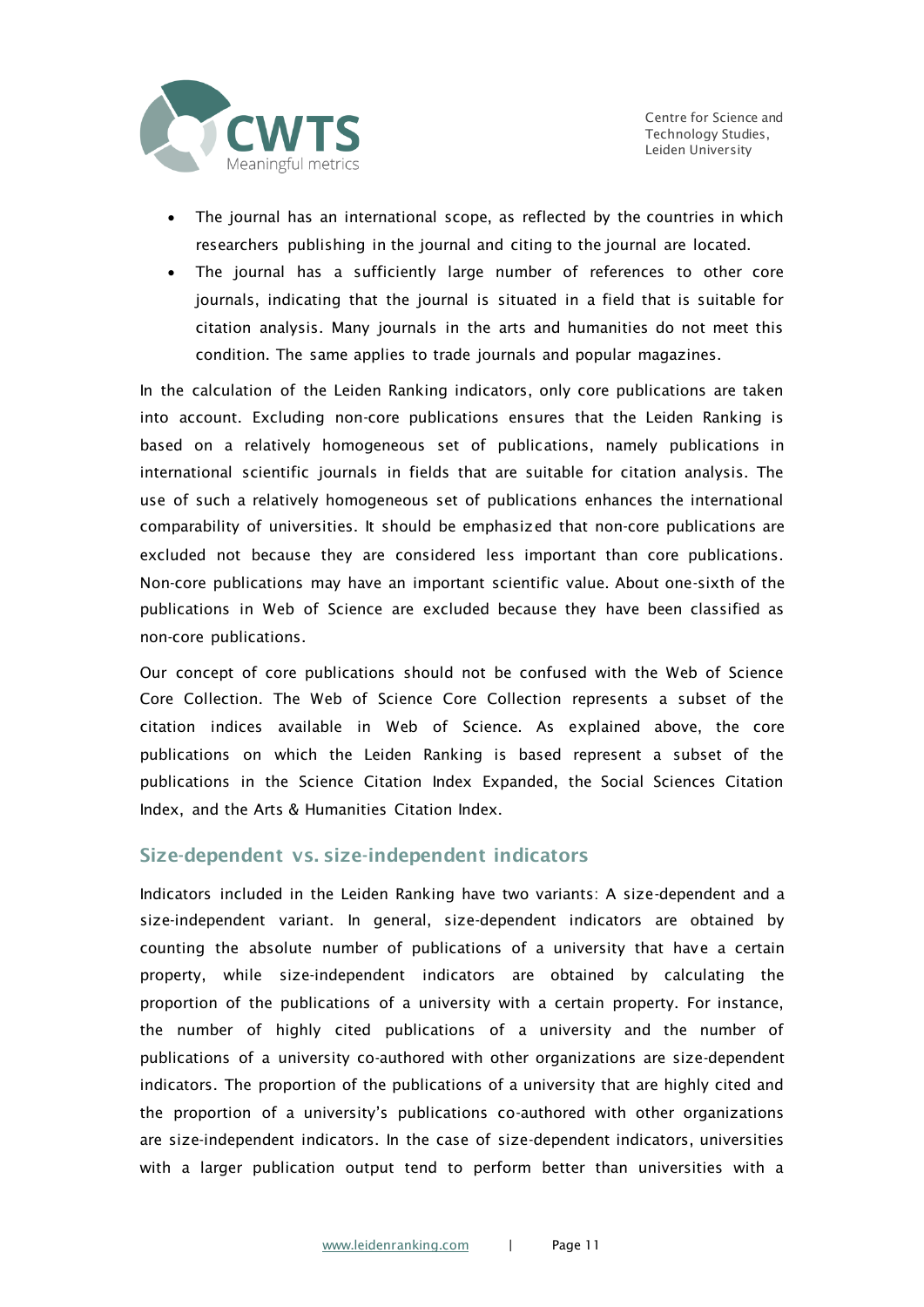

- The journal has an international scope, as reflected by the countries in which researchers publishing in the journal and citing to the journal are located.
- The journal has a sufficiently large number of references to other core journals, indicating that the journal is situated in a field that is suitable for citation analysis. Many journals in the arts and humanities do not meet this condition. The same applies to trade journals and popular magazines.

In the calculation of the Leiden Ranking indicators, only core publications are taken into account. Excluding non-core publications ensures that the Leiden Ranking is based on a relatively homogeneous set of publications, namely publications in international scientific journals in fields that are suitable for citation analysis. The use of such a relatively homogeneous set of publications enhances the international comparability of universities. It should be emphasized that non-core publications are excluded not because they are considered less important than core publications. Non-core publications may have an important scientific value. About one-sixth of the publications in Web of Science are excluded because they have been classified as non-core publications.

Our concept of core publications should not be confused with the Web of Science Core Collection. The Web of Science Core Collection represents a subset of the citation indices available in Web of Science. As explained above, the core publications on which the Leiden Ranking is based represent a subset of the publications in the Science Citation Index Expanded, the Social Sciences Citation Index, and the Arts & Humanities Citation Index.

### Size-dependent vs. size-independent indicators

Indicators included in the Leiden Ranking have two variants: A size-dependent and a size-independent variant. In general, size-dependent indicators are obtained by counting the absolute number of publications of a university that have a certain property, while size-independent indicators are obtained by calculating the proportion of the publications of a university with a certain property. For instance, the number of highly cited publications of a university and the number of publications of a university co-authored with other organizations are size-dependent indicators. The proportion of the publications of a university that are highly cited and the proportion of a university's publications co-authored with other organizations are size-independent indicators. In the case of size-dependent indicators, universities with a larger publication output tend to perform better than universities with a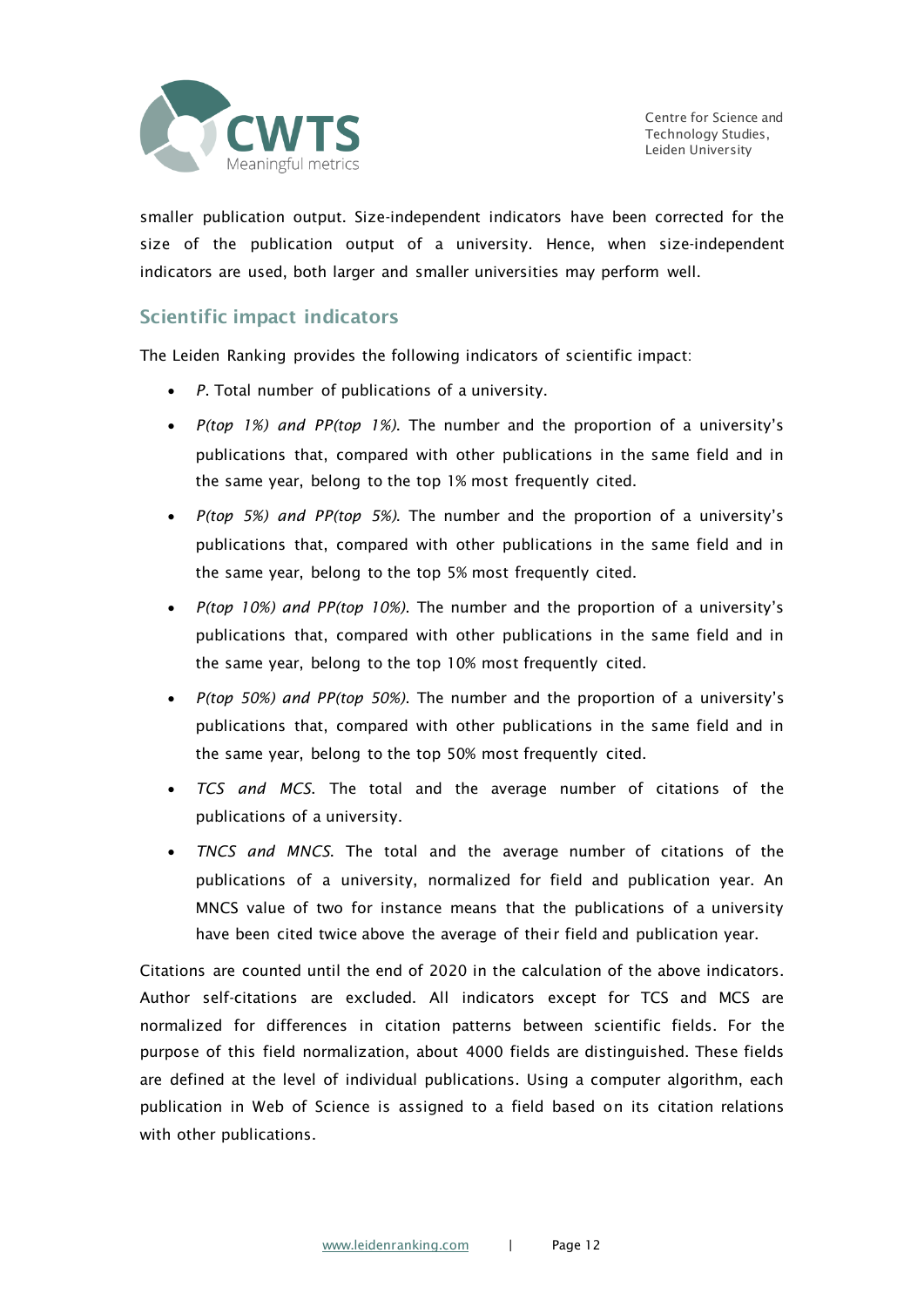

smaller publication output. Size-independent indicators have been corrected for the size of the publication output of a university. Hence, when size-independent indicators are used, both larger and smaller universities may perform well.

### Scientific impact indicators

The Leiden Ranking provides the following indicators of scientific impact:

- *P*. Total number of publications of a university.
- *P(top 1%) and PP(top 1%)*. The number and the proportion of a university's publications that, compared with other publications in the same field and in the same year, belong to the top 1% most frequently cited.
- *P(top 5%) and PP(top 5%)*. The number and the proportion of a university's publications that, compared with other publications in the same field and in the same year, belong to the top 5% most frequently cited.
- *P(top 10%) and PP(top 10%)*. The number and the proportion of a university's publications that, compared with other publications in the same field and in the same year, belong to the top 10% most frequently cited.
- *P(top 50%) and PP(top 50%)*. The number and the proportion of a university's publications that, compared with other publications in the same field and in the same year, belong to the top 50% most frequently cited.
- *TCS and MCS*. The total and the average number of citations of the publications of a university.
- *TNCS and MNCS*. The total and the average number of citations of the publications of a university, normalized for field and publication year. An MNCS value of two for instance means that the publications of a university have been cited twice above the average of their field and publication year.

Citations are counted until the end of 2020 in the calculation of the above indicators. Author self-citations are excluded. All indicators except for TCS and MCS are normalized for differences in citation patterns between scientific fields. For the purpose of this field normalization, about 4000 fields are distinguished. These fields are defined at the level of individual publications. Using a computer algorithm, each publication in Web of Science is assigned to a field based on its citation relations with other publications.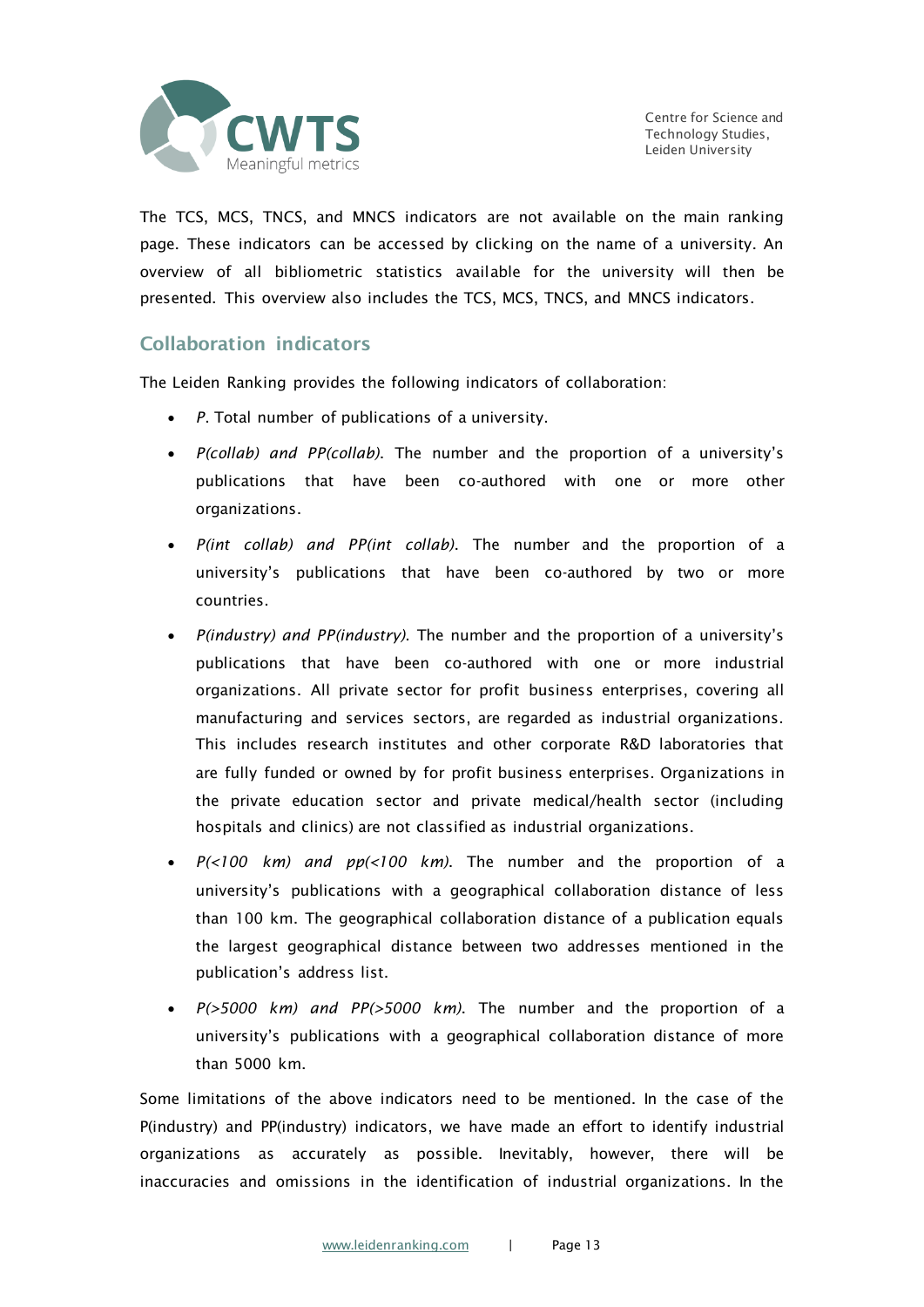

The TCS, MCS, TNCS, and MNCS indicators are not available on the main ranking page. These indicators can be accessed by clicking on the name of a university. An overview of all bibliometric statistics available for the university will then be presented. This overview also includes the TCS, MCS, TNCS, and MNCS indicators.

### Collaboration indicators

The Leiden Ranking provides the following indicators of collaboration:

- *P*. Total number of publications of a university.
- *P(collab) and PP(collab)*. The number and the proportion of a university's publications that have been co-authored with one or more other organizations.
- *P(int collab) and PP(int collab)*. The number and the proportion of a university's publications that have been co-authored by two or more countries.
- *P(industry) and PP(industry)*. The number and the proportion of a university's publications that have been co-authored with one or more industrial organizations. All private sector for profit business enterprises, covering all manufacturing and services sectors, are regarded as industrial organizations. This includes research institutes and other corporate R&D laboratories that are fully funded or owned by for profit business enterprises. Organizations in the private education sector and private medical/health sector (including hospitals and clinics) are not classified as industrial organizations.
- *P(<100 km) and pp(<100 km)*. The number and the proportion of a university's publications with a geographical collaboration distance of less than 100 km. The geographical collaboration distance of a publication equals the largest geographical distance between two addresses mentioned in the publication's address list.
- *P(>5000 km) and PP(>5000 km)*. The number and the proportion of a university's publications with a geographical collaboration distance of more than 5000 km.

Some limitations of the above indicators need to be mentioned. In the case of the P(industry) and PP(industry) indicators, we have made an effort to identify industrial organizations as accurately as possible. Inevitably, however, there will be inaccuracies and omissions in the identification of industrial organizations. In the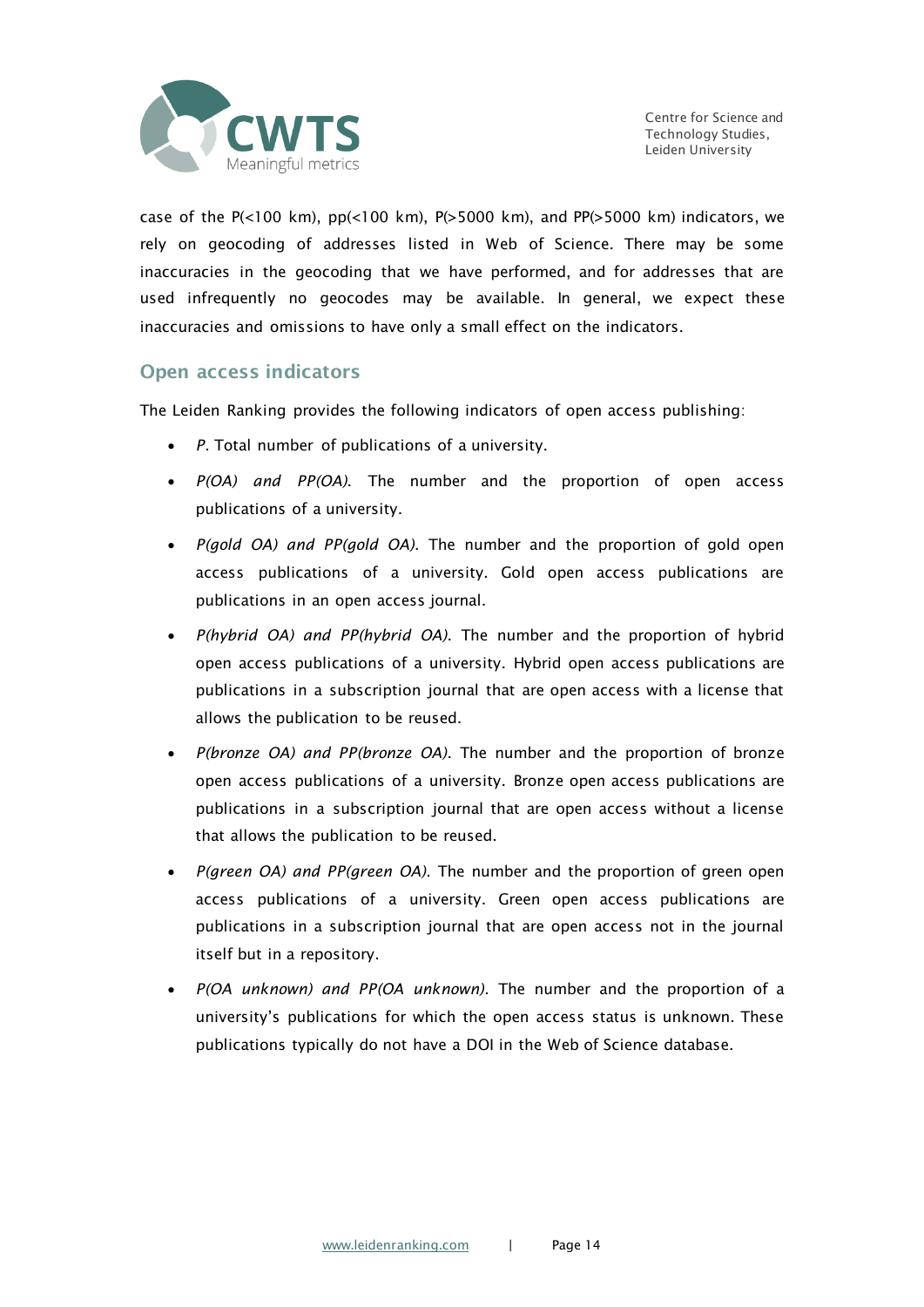

case of the P( $\lt 100$  km), pp( $\lt 100$  km), P( $\gt 5000$  km), and PP( $\gt 5000$  km) indicators, we rely on geocoding of addresses listed in Web of Science. There may be some inaccuracies in the geocoding that we have performed, and for addresses that are used infrequently no geocodes may be available. In general, we expect these inaccuracies and omissions to have only a small effect on the indicators.

### Open access indicators

The Leiden Ranking provides the following indicators of open access publishing:

- *P*. Total number of publications of a university.
- *P(OA) and PP(OA)*. The number and the proportion of open access publications of a university.
- *P(gold OA) and PP(gold OA)*. The number and the proportion of gold open access publications of a university. Gold open access publications are publications in an open access journal.
- *P(hybrid OA) and PP(hybrid OA)*. The number and the proportion of hybrid open access publications of a university. Hybrid open access publications are publications in a subscription journal that are open access with a license that allows the publication to be reused.
- *P(bronze OA) and PP(bronze OA)*. The number and the proportion of bronze open access publications of a university. Bronze open access publications are publications in a subscription journal that are open access without a license that allows the publication to be reused.
- *P(green OA) and PP(green OA)*. The number and the proportion of green open access publications of a university. Green open access publications are publications in a subscription journal that are open access not in the journal itself but in a repository.
- *P(OA unknown) and PP(OA unknown)*. The number and the proportion of a university's publications for which the open access status is unknown. These publications typically do not have a DOI in the Web of Science database.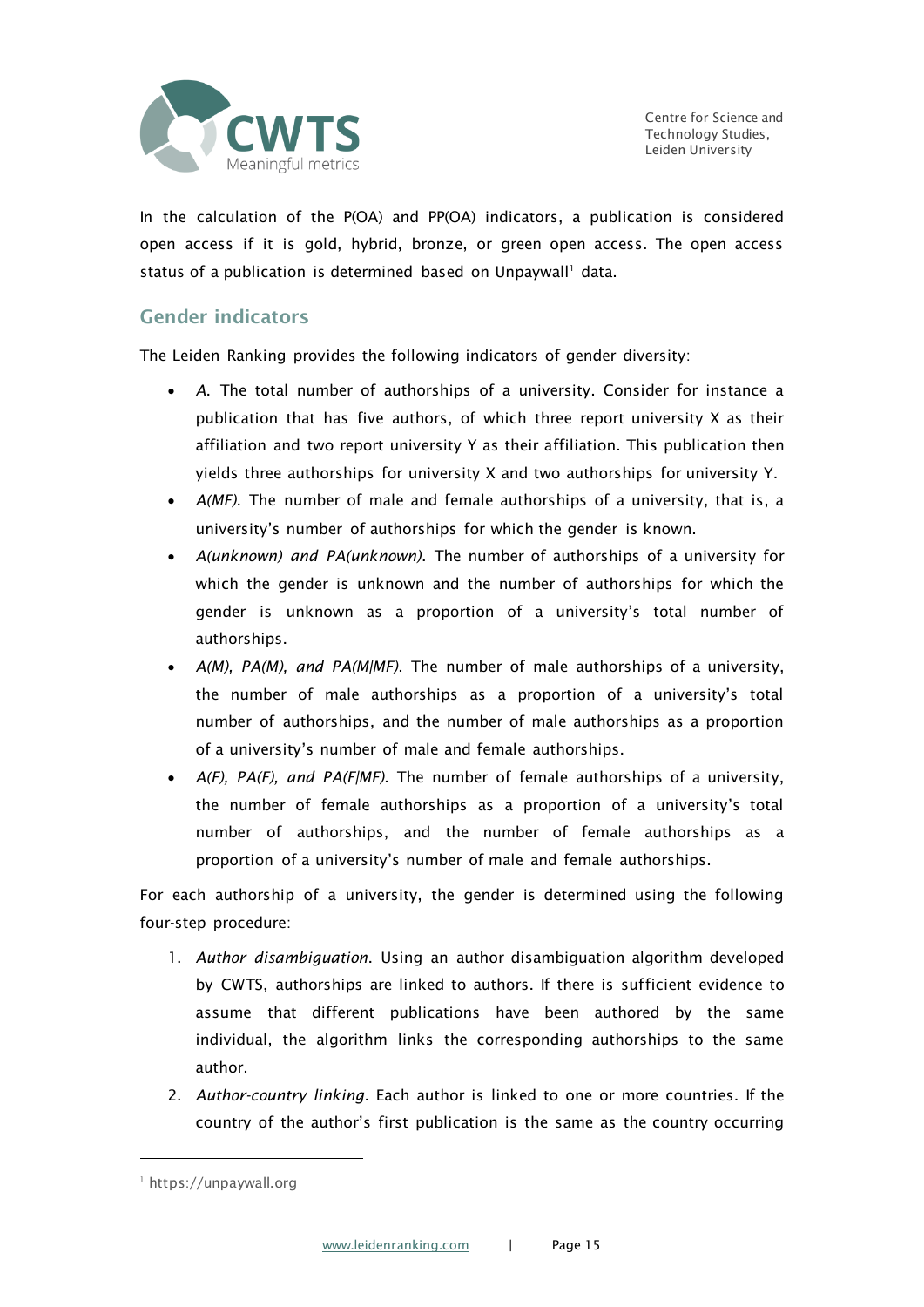

In the calculation of the P(OA) and PP(OA) indicators, a publication is considered open access if it is gold, hybrid, bronze, or green open access. The open access status of a publication is determined based on Unpaywall<sup>1</sup> data.

### Gender indicators

The Leiden Ranking provides the following indicators of gender diversity:

- *A*. The total number of authorships of a university. Consider for instance a publication that has five authors, of which three report university X as their affiliation and two report university Y as their affiliation. This publication then yields three authorships for university X and two authorships for university Y.
- *A(MF)*. The number of male and female authorships of a university, that is, a university's number of authorships for which the gender is known.
- *A(unknown) and PA(unknown)*. The number of authorships of a university for which the gender is unknown and the number of authorships for which the gender is unknown as a proportion of a university's total number of authorships.
- *A(M), PA(M), and PA(M|MF)*. The number of male authorships of a university, the number of male authorships as a proportion of a university's total number of authorships, and the number of male authorships as a proportion of a university's number of male and female authorships.
- *A(F), PA(F), and PA(F|MF)*. The number of female authorships of a university, the number of female authorships as a proportion of a university's total number of authorships, and the number of female authorships as a proportion of a university's number of male and female authorships.

For each authorship of a university, the gender is determined using the following four-step procedure:

- 1. *Author disambiguation*. Using an author disambiguation algorithm developed by CWTS, authorships are linked to authors. If there is sufficient evidence to assume that different publications have been authored by the same individual, the algorithm links the corresponding authorships to the same author.
- 2. *Author-country linking*. Each author is linked to one or more countries. If the country of the author's first publication is the same as the country occurring

<sup>1</sup> https://unpaywall.org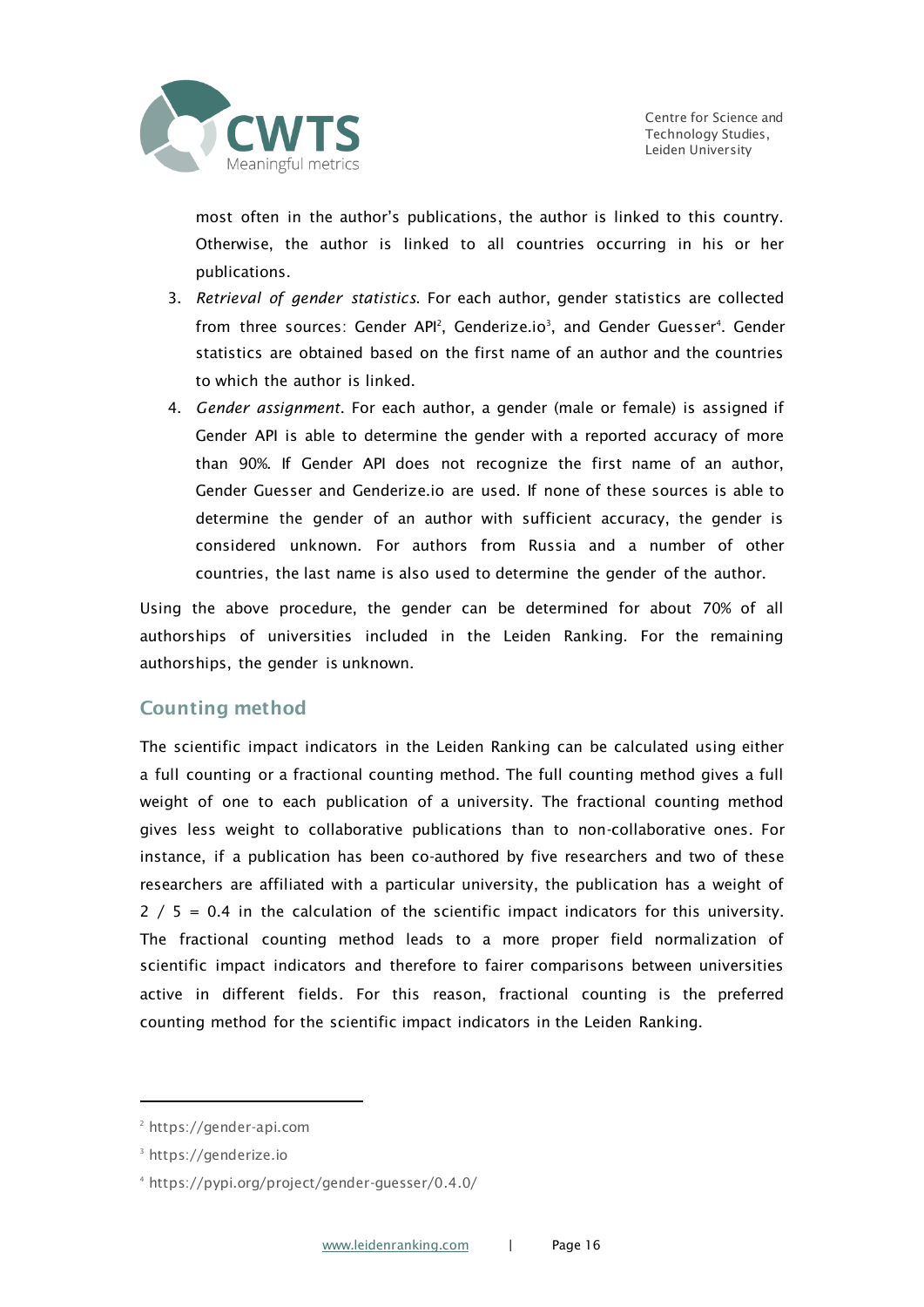

most often in the author's publications, the author is linked to this country. Otherwise, the author is linked to all countries occurring in his or her publications.

- 3. *Retrieval of gender statistics*. For each author, gender statistics are collected from three sources: Gender API<sup>2</sup>, Genderize.io<sup>3</sup>, and Gender Guesser<sup>4</sup>. Gender statistics are obtained based on the first name of an author and the countries to which the author is linked.
- 4. *Gender assignment*. For each author, a gender (male or female) is assigned if Gender API is able to determine the gender with a reported accuracy of more than 90%. If Gender API does not recognize the first name of an author, Gender Guesser and Genderize.io are used. If none of these sources is able to determine the gender of an author with sufficient accuracy, the gender is considered unknown. For authors from Russia and a number of other countries, the last name is also used to determine the gender of the author.

Using the above procedure, the gender can be determined for about 70% of all authorships of universities included in the Leiden Ranking. For the remaining authorships, the gender is unknown.

### Counting method

The scientific impact indicators in the Leiden Ranking can be calculated using either a full counting or a fractional counting method. The full counting method gives a full weight of one to each publication of a university. The fractional counting method gives less weight to collaborative publications than to non-collaborative ones. For instance, if a publication has been co-authored by five researchers and two of these researchers are affiliated with a particular university, the publication has a weight of  $2 / 5 = 0.4$  in the calculation of the scientific impact indicators for this university. The fractional counting method leads to a more proper field normalization of scientific impact indicators and therefore to fairer comparisons between universities active in different fields. For this reason, fractional counting is the preferred counting method for the scientific impact indicators in the Leiden Ranking.

<sup>2</sup> https://gender-api.com

<sup>3</sup> https://genderize.io

<sup>4</sup> https://pypi.org/project/gender-guesser/0.4.0/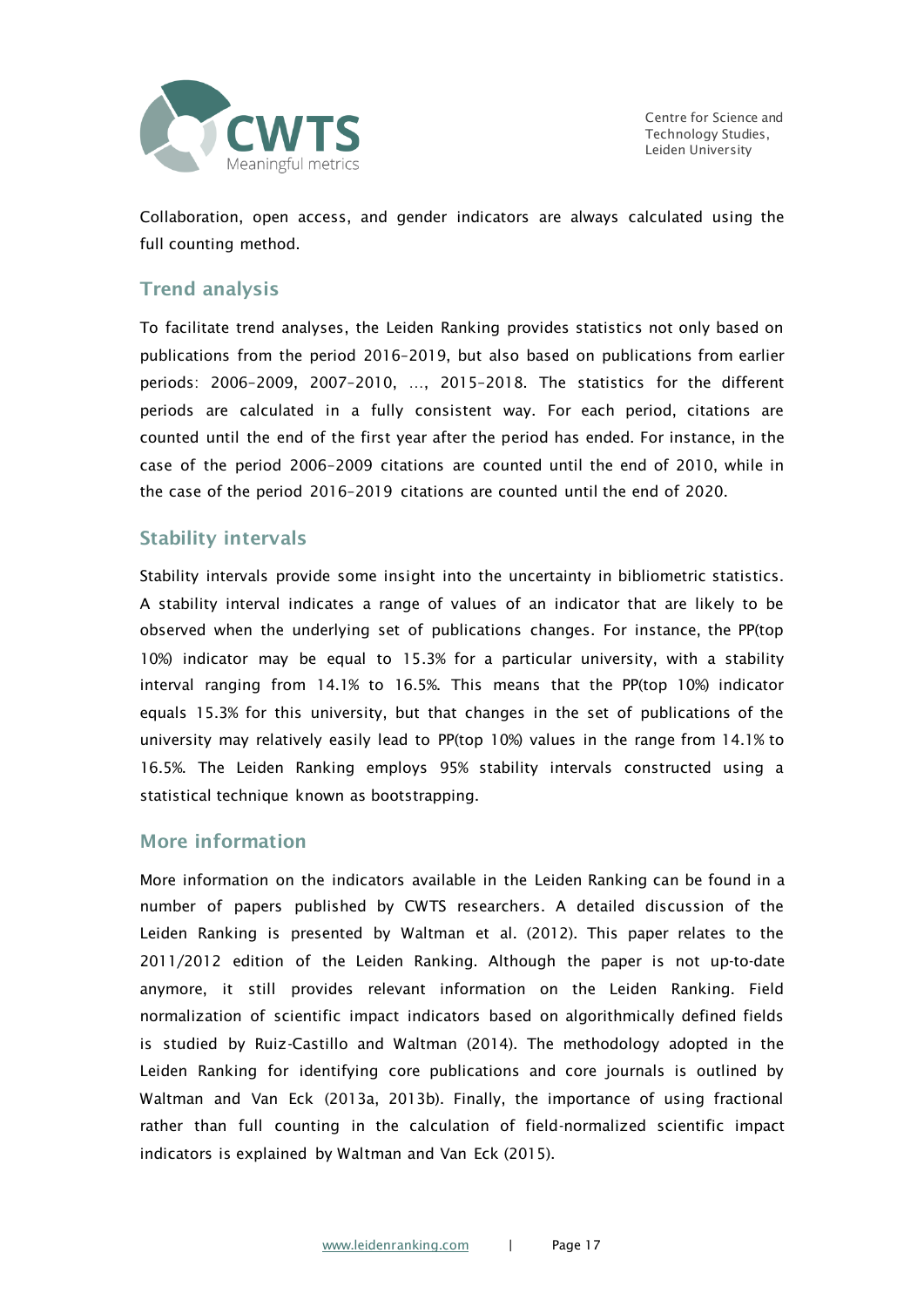

Collaboration, open access, and gender indicators are always calculated using the full counting method.

### Trend analysis

To facilitate trend analyses, the Leiden Ranking provides statistics not only based on publications from the period 2016–2019, but also based on publications from earlier periods: 2006–2009, 2007–2010, …, 2015–2018. The statistics for the different periods are calculated in a fully consistent way. For each period, citations are counted until the end of the first year after the period has ended. For instance, in the case of the period 2006–2009 citations are counted until the end of 2010, while in the case of the period 2016–2019 citations are counted until the end of 2020.

### Stability intervals

Stability intervals provide some insight into the uncertainty in bibliometric statistics. A stability interval indicates a range of values of an indicator that are likely to be observed when the underlying set of publications changes. For instance, the PP(top 10%) indicator may be equal to 15.3% for a particular university, with a stability interval ranging from 14.1% to 16.5%. This means that the PP(top 10%) indicator equals 15.3% for this university, but that changes in the set of publications of the university may relatively easily lead to PP(top 10%) values in the range from 14.1% to 16.5%. The Leiden Ranking employs 95% stability intervals constructed using a statistical technique known as bootstrapping.

### More information

More information on the indicators available in the Leiden Ranking can be found in a number of papers published by CWTS researchers. A detailed discussion of the Leiden Ranking is presented by Waltman et al. (2012). This paper relates to the 2011/2012 edition of the Leiden Ranking. Although the paper is not up-to-date anymore, it still provides relevant information on the Leiden Ranking. Field normalization of scientific impact indicators based on algorithmically defined fields is studied by Ruiz-Castillo and Waltman (2014). The methodology adopted in the Leiden Ranking for identifying core publications and core journals is outlined by Waltman and Van Eck (2013a, 2013b). Finally, the importance of using fractional rather than full counting in the calculation of field-normalized scientific impact indicators is explained by Waltman and Van Eck (2015).